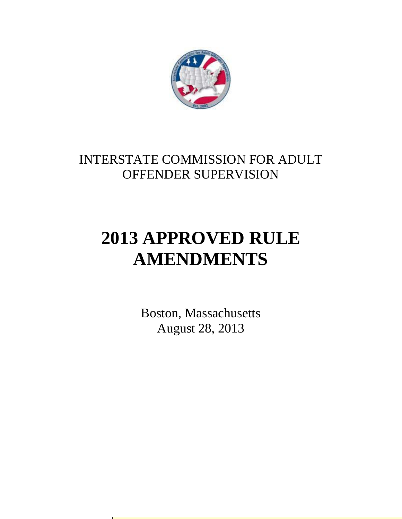

## INTERSTATE COMMISSION FOR ADULT OFFENDER SUPERVISION

# **2013 APPROVED RULE AMENDMENTS**

Boston, Massachusetts August 28, 2013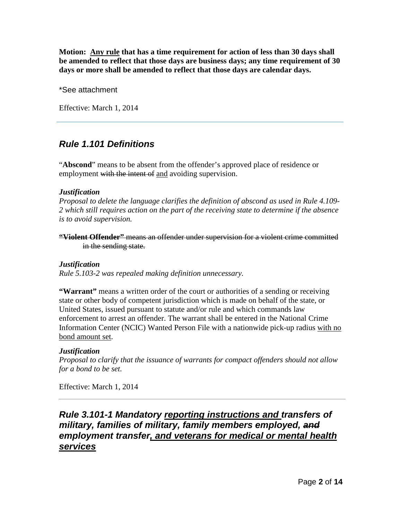**Motion: Any rule that has a time requirement for action of less than 30 days shall be amended to reflect that those days are business days; any time requirement of 30 days or more shall be amended to reflect that those days are calendar days.**

\*See attachment

Effective: March 1, 2014

### *Rule 1.101 Definitions*

"**Abscond**" means to be absent from the offender's approved place of residence or employment with the intent of and avoiding supervision.

### *Justification*

*Proposal to delete the language clarifies the definition of abscond as used in Rule 4.109- 2 which still requires action on the part of the receiving state to determine if the absence is to avoid supervision.*

**"Violent Offender"** means an offender under supervision for a violent crime committed in the sending state.

### *Justification*

*Rule 5.103-2 was repealed making definition unnecessary.*

**"Warrant"** means a written order of the court or authorities of a sending or receiving state or other body of competent jurisdiction which is made on behalf of the state, or United States, issued pursuant to statute and/or rule and which commands law enforcement to arrest an offender. The warrant shall be entered in the National Crime Information Center (NCIC) Wanted Person File with a nationwide pick-up radius with no bond amount set.

### *Justification*

*Proposal to clarify that the issuance of warrants for compact offenders should not allow for a bond to be set.* 

Effective: March 1, 2014

### *Rule 3.101-1 Mandatory reporting instructions and transfers of military, families of military, family members employed, and employment transfer, and veterans for medical or mental health services*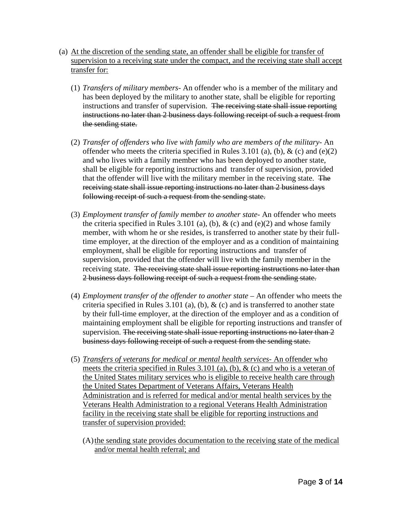- (a) At the discretion of the sending state, an offender shall be eligible for transfer of supervision to a receiving state under the compact, and the receiving state shall accept transfer for:
	- (1) *Transfers of military members-* An offender who is a member of the military and has been deployed by the military to another state, shall be eligible for reporting instructions and transfer of supervision. The receiving state shall issue reporting instructions no later than 2 business days following receipt of such a request from the sending state.
	- (2) *Transfer of offenders who live with family who are members of the military* An offender who meets the criteria specified in Rules 3.101 (a), (b),  $\&$  (c) and (e)(2) and who lives with a family member who has been deployed to another state, shall be eligible for reporting instructions and transfer of supervision, provided that the offender will live with the military member in the receiving state. The receiving state shall issue reporting instructions no later than 2 business days following receipt of such a request from the sending state.
	- (3) *Employment transfer of family member to another state-* An offender who meets the criteria specified in Rules 3.101 (a), (b),  $\&$  (c) and (e)(2) and whose family member, with whom he or she resides, is transferred to another state by their fulltime employer, at the direction of the employer and as a condition of maintaining employment, shall be eligible for reporting instructions and transfer of supervision, provided that the offender will live with the family member in the receiving state. The receiving state shall issue reporting instructions no later than 2 business days following receipt of such a request from the sending state.
	- (4) *Employment transfer of the offender to another state* An offender who meets the criteria specified in Rules 3.101 (a), (b),  $\&$  (c) and is transferred to another state by their full-time employer, at the direction of the employer and as a condition of maintaining employment shall be eligible for reporting instructions and transfer of supervision. The receiving state shall issue reporting instructions no later than 2 business days following receipt of such a request from the sending state.
	- (5) *Transfers of veterans for medical or mental health services-* An offender who meets the criteria specified in Rules 3.101 (a), (b),  $\&$  (c) and who is a veteran of the United States military services who is eligible to receive health care through the United States Department of Veterans Affairs, Veterans Health Administration and is referred for medical and/or mental health services by the Veterans Health Administration to a regional Veterans Health Administration facility in the receiving state shall be eligible for reporting instructions and transfer of supervision provided:
		- $(A)$  the sending state provides documentation to the receiving state of the medical and/or mental health referral; and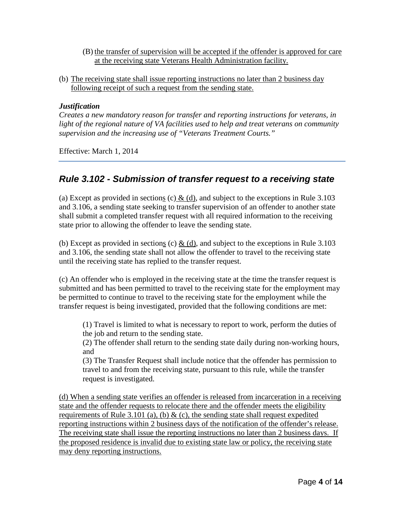- (B) the transfer of supervision will be accepted if the offender is approved for care at the receiving state Veterans Health Administration facility.
- (b) The receiving state shall issue reporting instructions no later than 2 business day following receipt of such a request from the sending state.

*Creates a new mandatory reason for transfer and reporting instructions for veterans, in light of the regional nature of VA facilities used to help and treat veterans on community supervision and the increasing use of "Veterans Treatment Courts."*

Effective: March 1, 2014

### *Rule 3.102 - Submission of transfer request to a receiving state*

(a) Except as provided in sections (c)  $&$  (d), and subject to the exceptions in Rule 3.103 and 3.106, a sending state seeking to transfer supervision of an offender to another state shall submit a completed transfer request with all required information to the receiving state prior to allowing the offender to leave the sending state.

(b) Except as provided in sections (c)  $\&$  (d), and subject to the exceptions in Rule 3.103 and 3.106, the sending state shall not allow the offender to travel to the receiving state until the receiving state has replied to the transfer request.

(c) An offender who is employed in the receiving state at the time the transfer request is submitted and has been permitted to travel to the receiving state for the employment may be permitted to continue to travel to the receiving state for the employment while the transfer request is being investigated, provided that the following conditions are met:

(1) Travel is limited to what is necessary to report to work, perform the duties of the job and return to the sending state.

(2) The offender shall return to the sending state daily during non-working hours, and

(3) The Transfer Request shall include notice that the offender has permission to travel to and from the receiving state, pursuant to this rule, while the transfer request is investigated.

(d) When a sending state verifies an offender is released from incarceration in a receiving state and the offender requests to relocate there and the offender meets the eligibility requirements of Rule 3.101 (a), (b)  $\&$  (c), the sending state shall request expedited reporting instructions within 2 business days of the notification of the offender's release. The receiving state shall issue the reporting instructions no later than 2 business days. If the proposed residence is invalid due to existing state law or policy, the receiving state may deny reporting instructions.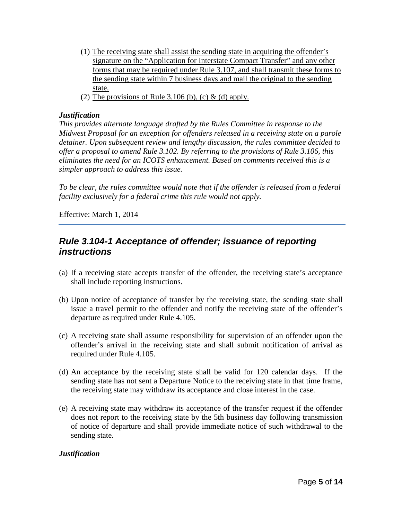- (1) The receiving state shall assist the sending state in acquiring the offender's signature on the "Application for Interstate Compact Transfer" and any other forms that may be required under Rule 3.107, and shall transmit these forms to the sending state within 7 business days and mail the original to the sending state.
- (2) The provisions of Rule 3.106 (b), (c) & (d) apply.

*This provides alternate language drafted by the Rules Committee in response to the Midwest Proposal for an exception for offenders released in a receiving state on a parole detainer. Upon subsequent review and lengthy discussion, the rules committee decided to offer a proposal to amend Rule 3.102. By referring to the provisions of Rule 3.106, this eliminates the need for an ICOTS enhancement. Based on comments received this is a simpler approach to address this issue.*

*To be clear, the rules committee would note that if the offender is released from a federal facility exclusively for a federal crime this rule would not apply.*

Effective: March 1, 2014

### *Rule 3.104-1 Acceptance of offender; issuance of reporting instructions*

- (a) If a receiving state accepts transfer of the offender, the receiving state's acceptance shall include reporting instructions.
- (b) Upon notice of acceptance of transfer by the receiving state, the sending state shall issue a travel permit to the offender and notify the receiving state of the offender's departure as required under Rule 4.105.
- (c) A receiving state shall assume responsibility for supervision of an offender upon the offender's arrival in the receiving state and shall submit notification of arrival as required under Rule 4.105.
- (d) An acceptance by the receiving state shall be valid for 120 calendar days. If the sending state has not sent a Departure Notice to the receiving state in that time frame, the receiving state may withdraw its acceptance and close interest in the case.
- (e) A receiving state may withdraw its acceptance of the transfer request if the offender does not report to the receiving state by the 5th business day following transmission of notice of departure and shall provide immediate notice of such withdrawal to the sending state.

### *Justification*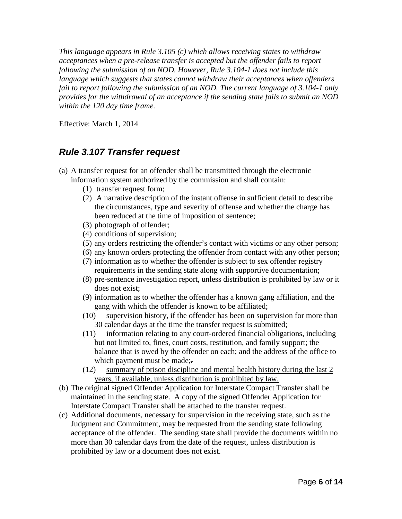*This language appears in Rule 3.105 (c) which allows receiving states to withdraw acceptances when a pre-release transfer is accepted but the offender fails to report following the submission of an NOD. However, Rule 3.104-1 does not include this language which suggests that states cannot withdraw their acceptances when offenders fail to report following the submission of an NOD. The current language of 3.104-1 only provides for the withdrawal of an acceptance if the sending state fails to submit an NOD within the 120 day time frame.*

Effective: March 1, 2014

### *Rule 3.107 Transfer request*

- (a) A transfer request for an offender shall be transmitted through the electronic information system authorized by the commission and shall contain:
	- (1) transfer request form;
	- (2) A narrative description of the instant offense in sufficient detail to describe the circumstances, type and severity of offense and whether the charge has been reduced at the time of imposition of sentence;
	- (3) photograph of offender;
	- (4) conditions of supervision;
	- (5) any orders restricting the offender's contact with victims or any other person;
	- (6) any known orders protecting the offender from contact with any other person;
	- (7) information as to whether the offender is subject to sex offender registry requirements in the sending state along with supportive documentation;
	- (8) pre-sentence investigation report, unless distribution is prohibited by law or it does not exist;
	- (9) information as to whether the offender has a known gang affiliation, and the gang with which the offender is known to be affiliated;
	- (10) supervision history, if the offender has been on supervision for more than 30 calendar days at the time the transfer request is submitted;
	- (11) information relating to any court-ordered financial obligations, including but not limited to, fines, court costs, restitution, and family support; the balance that is owed by the offender on each; and the address of the office to which payment must be made;
	- (12) summary of prison discipline and mental health history during the last 2 years, if available, unless distribution is prohibited by law.
- (b) The original signed Offender Application for Interstate Compact Transfer shall be maintained in the sending state. A copy of the signed Offender Application for Interstate Compact Transfer shall be attached to the transfer request.
- (c) Additional documents, necessary for supervision in the receiving state, such as the Judgment and Commitment, may be requested from the sending state following acceptance of the offender. The sending state shall provide the documents within no more than 30 calendar days from the date of the request, unless distribution is prohibited by law or a document does not exist.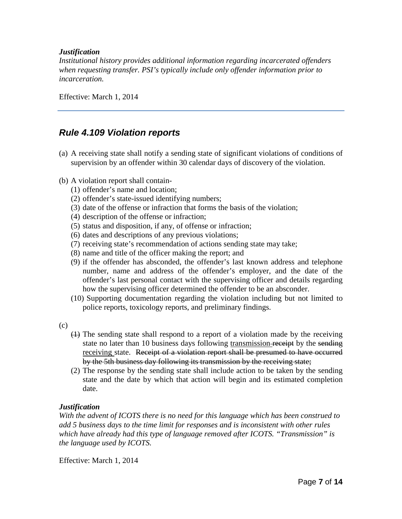*Institutional history provides additional information regarding incarcerated offenders when requesting transfer. PSI's typically include only offender information prior to incarceration.* 

Effective: March 1, 2014

### *Rule 4.109 Violation reports*

- (a) A receiving state shall notify a sending state of significant violations of conditions of supervision by an offender within 30 calendar days of discovery of the violation.
- (b) A violation report shall contain-
	- (1) offender's name and location;
	- (2) offender's state-issued identifying numbers;
	- (3) date of the offense or infraction that forms the basis of the violation;
	- (4) description of the offense or infraction;
	- (5) status and disposition, if any, of offense or infraction;
	- (6) dates and descriptions of any previous violations;
	- (7) receiving state's recommendation of actions sending state may take;
	- (8) name and title of the officer making the report; and
	- (9) if the offender has absconded, the offender's last known address and telephone number, name and address of the offender's employer, and the date of the offender's last personal contact with the supervising officer and details regarding how the supervising officer determined the offender to be an absconder.
	- (10) Supporting documentation regarding the violation including but not limited to police reports, toxicology reports, and preliminary findings.
- (c)
- (1) The sending state shall respond to a report of a violation made by the receiving state no later than 10 business days following transmission-receipt by the sending receiving state. Receipt of a violation report shall be presumed to have occurred by the 5th business day following its transmission by the receiving state;
- (2) The response by the sending state shall include action to be taken by the sending state and the date by which that action will begin and its estimated completion date.

### *Justification*

*With the advent of ICOTS there is no need for this language which has been construed to add 5 business days to the time limit for responses and is inconsistent with other rules which have already had this type of language removed after ICOTS. "Transmission" is the language used by ICOTS.* 

Effective: March 1, 2014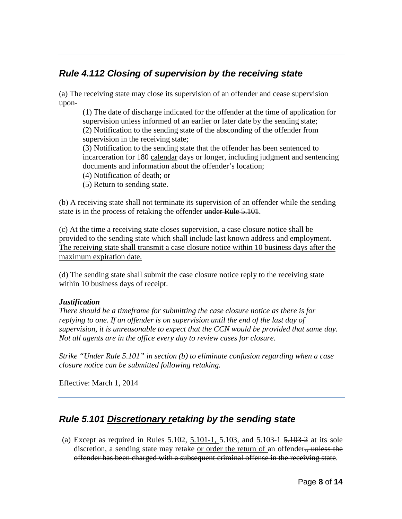### *Rule 4.112 Closing of supervision by the receiving state*

(a) The receiving state may close its supervision of an offender and cease supervision upon-

(1) The date of discharge indicated for the offender at the time of application for supervision unless informed of an earlier or later date by the sending state; (2) Notification to the sending state of the absconding of the offender from supervision in the receiving state;

(3) Notification to the sending state that the offender has been sentenced to incarceration for 180 calendar days or longer, including judgment and sentencing documents and information about the offender's location;

- (4) Notification of death; or
- (5) Return to sending state.

(b) A receiving state shall not terminate its supervision of an offender while the sending state is in the process of retaking the offender under Rule 5.101.

(c) At the time a receiving state closes supervision, a case closure notice shall be provided to the sending state which shall include last known address and employment. The receiving state shall transmit a case closure notice within 10 business days after the maximum expiration date.

(d) The sending state shall submit the case closure notice reply to the receiving state within 10 business days of receipt.

### *Justification*

*There should be a timeframe for submitting the case closure notice as there is for replying to one. If an offender is on supervision until the end of the last day of supervision, it is unreasonable to expect that the CCN would be provided that same day. Not all agents are in the office every day to review cases for closure.*

*Strike "Under Rule 5.101" in section (b) to eliminate confusion regarding when a case closure notice can be submitted following retaking.*

Effective: March 1, 2014

### *Rule 5.101 Discretionary retaking by the sending state*

(a) Except as required in Rules 5.102, 5.101-1, 5.103, and 5.103-1 5.103-2 at its sole discretion, a sending state may retake or order the return of an offender., unless the offender has been charged with a subsequent criminal offense in the receiving state.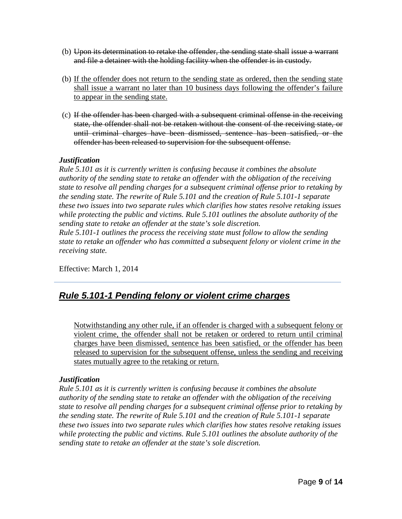- (b) Upon its determination to retake the offender, the sending state shall issue a warrant and file a detainer with the holding facility when the offender is in custody.
- (b) If the offender does not return to the sending state as ordered, then the sending state shall issue a warrant no later than 10 business days following the offender's failure to appear in the sending state.
- (c) If the offender has been charged with a subsequent criminal offense in the receiving state, the offender shall not be retaken without the consent of the receiving state, or until criminal charges have been dismissed, sentence has been satisfied, or the offender has been released to supervision for the subsequent offense.

*Rule 5.101 as it is currently written is confusing because it combines the absolute authority of the sending state to retake an offender with the obligation of the receiving state to resolve all pending charges for a subsequent criminal offense prior to retaking by the sending state. The rewrite of Rule 5.101 and the creation of Rule 5.101-1 separate these two issues into two separate rules which clarifies how states resolve retaking issues while protecting the public and victims. Rule 5.101 outlines the absolute authority of the sending state to retake an offender at the state's sole discretion.*

*Rule 5.101-1 outlines the process the receiving state must follow to allow the sending state to retake an offender who has committed a subsequent felony or violent crime in the receiving state.* 

Effective: March 1, 2014

### *Rule 5.101-1 Pending felony or violent crime charges*

Notwithstanding any other rule, if an offender is charged with a subsequent felony or violent crime, the offender shall not be retaken or ordered to return until criminal charges have been dismissed, sentence has been satisfied, or the offender has been released to supervision for the subsequent offense, unless the sending and receiving states mutually agree to the retaking or return.

### *Justification*

*Rule 5.101 as it is currently written is confusing because it combines the absolute authority of the sending state to retake an offender with the obligation of the receiving state to resolve all pending charges for a subsequent criminal offense prior to retaking by the sending state. The rewrite of Rule 5.101 and the creation of Rule 5.101-1 separate these two issues into two separate rules which clarifies how states resolve retaking issues while protecting the public and victims. Rule 5.101 outlines the absolute authority of the sending state to retake an offender at the state's sole discretion.*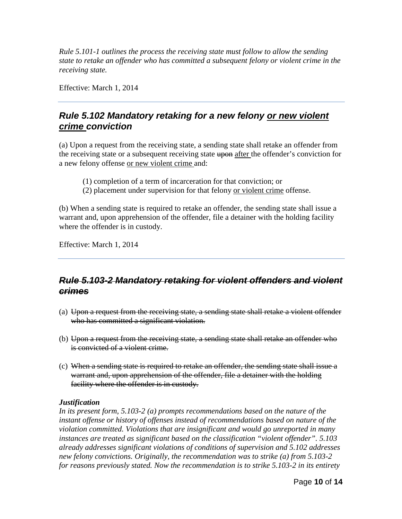*Rule 5.101-1 outlines the process the receiving state must follow to allow the sending state to retake an offender who has committed a subsequent felony or violent crime in the receiving state.* 

Effective: March 1, 2014

### *Rule 5.102 Mandatory retaking for a new felony or new violent crime conviction*

(a) Upon a request from the receiving state, a sending state shall retake an offender from the receiving state or a subsequent receiving state upon after the offender's conviction for a new felony offense or new violent crime and:

- (1) completion of a term of incarceration for that conviction; or
- (2) placement under supervision for that felony or violent crime offense.

(b) When a sending state is required to retake an offender, the sending state shall issue a warrant and, upon apprehension of the offender, file a detainer with the holding facility where the offender is in custody.

Effective: March 1, 2014

### *Rule 5.103-2 Mandatory retaking for violent offenders and violent crimes*

- (a) Upon a request from the receiving state, a sending state shall retake a violent offender who has committed a significant violation.
- (b) Upon a request from the receiving state, a sending state shall retake an offender who is convicted of a violent crime.
- (c) When a sending state is required to retake an offender, the sending state shall issue a warrant and, upon apprehension of the offender, file a detainer with the holding facility where the offender is in custody.

### *Justification*

In its present form, 5.103-2 (a) prompts recommendations based on the nature of the *instant offense or history of offenses instead of recommendations based on nature of the violation committed. Violations that are insignificant and would go unreported in many instances are treated as significant based on the classification "violent offender". 5.103 already addresses significant violations of conditions of supervision and 5.102 addresses new felony convictions. Originally, the recommendation was to strike (a) from 5.103-2 for reasons previously stated. Now the recommendation is to strike 5.103-2 in its entirety*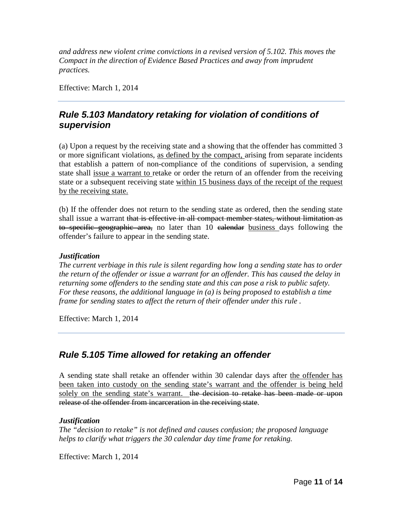*and address new violent crime convictions in a revised version of 5.102. This moves the Compact in the direction of Evidence Based Practices and away from imprudent practices.*

Effective: March 1, 2014

### *Rule 5.103 Mandatory retaking for violation of conditions of supervision*

(a) Upon a request by the receiving state and a showing that the offender has committed 3 or more significant violations, as defined by the compact, arising from separate incidents that establish a pattern of non-compliance of the conditions of supervision, a sending state shall issue a warrant to retake or order the return of an offender from the receiving state or a subsequent receiving state within 15 business days of the receipt of the request by the receiving state.

(b) If the offender does not return to the sending state as ordered, then the sending state shall issue a warrant that is effective in all compact member states, without limitation as to specific geographic area, no later than 10 calendar business days following the offender's failure to appear in the sending state.

### *Justification*

*The current verbiage in this rule is silent regarding how long a sending state has to order the return of the offender or issue a warrant for an offender. This has caused the delay in returning some offenders to the sending state and this can pose a risk to public safety. For these reasons, the additional language in (a) is being proposed to establish a time frame for sending states to affect the return of their offender under this rule .*

Effective: March 1, 2014

### *Rule 5.105 Time allowed for retaking an offender*

A sending state shall retake an offender within 30 calendar days after the offender has been taken into custody on the sending state's warrant and the offender is being held solely on the sending state's warrant. the decision to retake has been made or upon release of the offender from incarceration in the receiving state.

### *Justification*

*The "decision to retake" is not defined and causes confusion; the proposed language helps to clarify what triggers the 30 calendar day time frame for retaking.*

Effective: March 1, 2014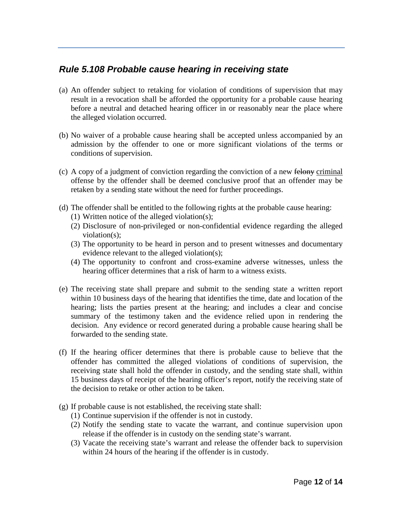### *Rule 5.108 Probable cause hearing in receiving state*

- (a) An offender subject to retaking for violation of conditions of supervision that may result in a revocation shall be afforded the opportunity for a probable cause hearing before a neutral and detached hearing officer in or reasonably near the place where the alleged violation occurred.
- (b) No waiver of a probable cause hearing shall be accepted unless accompanied by an admission by the offender to one or more significant violations of the terms or conditions of supervision.
- (c) A copy of a judgment of conviction regarding the conviction of a new  $f_{\text{e}}$  elemnation offense by the offender shall be deemed conclusive proof that an offender may be retaken by a sending state without the need for further proceedings.
- (d) The offender shall be entitled to the following rights at the probable cause hearing:
	- (1) Written notice of the alleged violation(s);
	- (2) Disclosure of non-privileged or non-confidential evidence regarding the alleged violation(s);
	- (3) The opportunity to be heard in person and to present witnesses and documentary evidence relevant to the alleged violation(s);
	- (4) The opportunity to confront and cross-examine adverse witnesses, unless the hearing officer determines that a risk of harm to a witness exists.
- (e) The receiving state shall prepare and submit to the sending state a written report within 10 business days of the hearing that identifies the time, date and location of the hearing; lists the parties present at the hearing; and includes a clear and concise summary of the testimony taken and the evidence relied upon in rendering the decision. Any evidence or record generated during a probable cause hearing shall be forwarded to the sending state.
- (f) If the hearing officer determines that there is probable cause to believe that the offender has committed the alleged violations of conditions of supervision, the receiving state shall hold the offender in custody, and the sending state shall, within 15 business days of receipt of the hearing officer's report, notify the receiving state of the decision to retake or other action to be taken.
- (g) If probable cause is not established, the receiving state shall:
	- (1) Continue supervision if the offender is not in custody.
	- (2) Notify the sending state to vacate the warrant, and continue supervision upon release if the offender is in custody on the sending state's warrant.
	- (3) Vacate the receiving state's warrant and release the offender back to supervision within 24 hours of the hearing if the offender is in custody.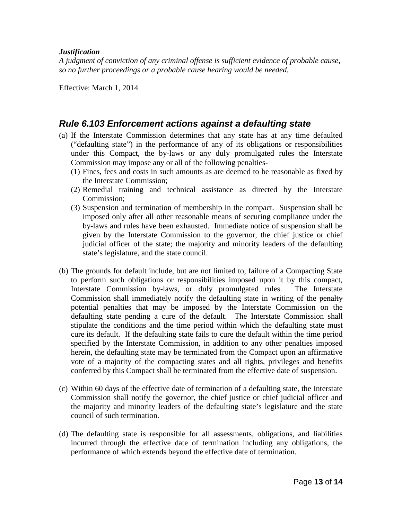*A judgment of conviction of any criminal offense is sufficient evidence of probable cause, so no further proceedings or a probable cause hearing would be needed.*

Effective: March 1, 2014

### *Rule 6.103 Enforcement actions against a defaulting state*

- (a) If the Interstate Commission determines that any state has at any time defaulted ("defaulting state") in the performance of any of its obligations or responsibilities under this Compact, the by-laws or any duly promulgated rules the Interstate Commission may impose any or all of the following penalties-
	- (1) Fines, fees and costs in such amounts as are deemed to be reasonable as fixed by the Interstate Commission;
	- (2) Remedial training and technical assistance as directed by the Interstate Commission;
	- (3) Suspension and termination of membership in the compact. Suspension shall be imposed only after all other reasonable means of securing compliance under the by-laws and rules have been exhausted. Immediate notice of suspension shall be given by the Interstate Commission to the governor, the chief justice or chief judicial officer of the state; the majority and minority leaders of the defaulting state's legislature, and the state council.
- (b) The grounds for default include, but are not limited to, failure of a Compacting State to perform such obligations or responsibilities imposed upon it by this compact, Interstate Commission by-laws, or duly promulgated rules. The Interstate Commission shall immediately notify the defaulting state in writing of the penalty potential penalties that may be imposed by the Interstate Commission on the defaulting state pending a cure of the default. The Interstate Commission shall stipulate the conditions and the time period within which the defaulting state must cure its default. If the defaulting state fails to cure the default within the time period specified by the Interstate Commission, in addition to any other penalties imposed herein, the defaulting state may be terminated from the Compact upon an affirmative vote of a majority of the compacting states and all rights, privileges and benefits conferred by this Compact shall be terminated from the effective date of suspension.
- (c) Within 60 days of the effective date of termination of a defaulting state, the Interstate Commission shall notify the governor, the chief justice or chief judicial officer and the majority and minority leaders of the defaulting state's legislature and the state council of such termination.
- (d) The defaulting state is responsible for all assessments, obligations, and liabilities incurred through the effective date of termination including any obligations, the performance of which extends beyond the effective date of termination.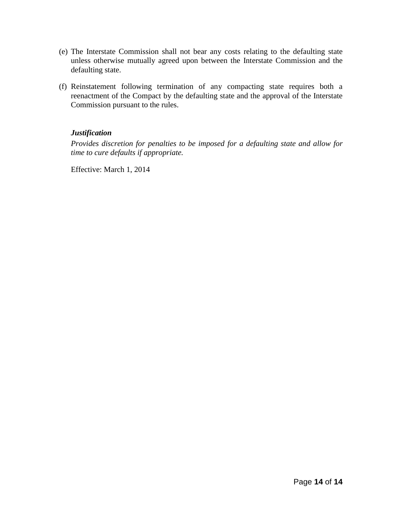- (e) The Interstate Commission shall not bear any costs relating to the defaulting state unless otherwise mutually agreed upon between the Interstate Commission and the defaulting state.
- (f) Reinstatement following termination of any compacting state requires both a reenactment of the Compact by the defaulting state and the approval of the Interstate Commission pursuant to the rules.

*Provides discretion for penalties to be imposed for a defaulting state and allow for time to cure defaults if appropriate.*

Effective: March 1, 2014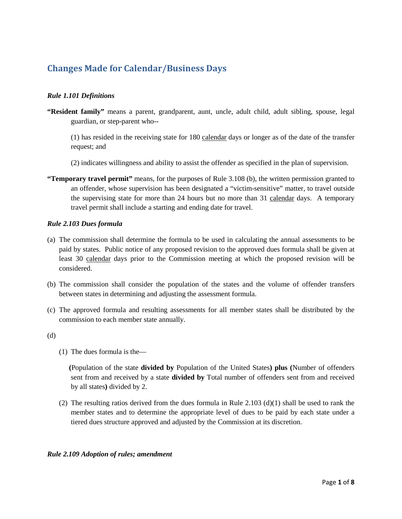### **Changes Made for Calendar/Business Days**

#### *Rule 1.101 Definitions*

**"Resident family"** means a parent, grandparent, aunt, uncle, adult child, adult sibling, spouse, legal guardian, or step-parent who--

(1) has resided in the receiving state for 180 calendar days or longer as of the date of the transfer request; and

- (2) indicates willingness and ability to assist the offender as specified in the plan of supervision.
- **"Temporary travel permit"** means, for the purposes of Rule 3.108 (b), the written permission granted to an offender, whose supervision has been designated a "victim-sensitive" matter, to travel outside the supervising state for more than 24 hours but no more than 31 calendar days. A temporary travel permit shall include a starting and ending date for travel.

#### *Rule 2.103 Dues formula*

- (a) The commission shall determine the formula to be used in calculating the annual assessments to be paid by states. Public notice of any proposed revision to the approved dues formula shall be given at least 30 calendar days prior to the Commission meeting at which the proposed revision will be considered.
- (b) The commission shall consider the population of the states and the volume of offender transfers between states in determining and adjusting the assessment formula.
- (c) The approved formula and resulting assessments for all member states shall be distributed by the commission to each member state annually.

#### (d)

(1) The dues formula is the—

 **(**Population of the state **divided by** Population of the United States**) plus (**Number of offenders sent from and received by a state **divided by** Total number of offenders sent from and received by all states**)** divided by 2.

(2) The resulting ratios derived from the dues formula in Rule 2.103 (d)(1) shall be used to rank the member states and to determine the appropriate level of dues to be paid by each state under a tiered dues structure approved and adjusted by the Commission at its discretion.

#### *Rule 2.109 Adoption of rules; amendment*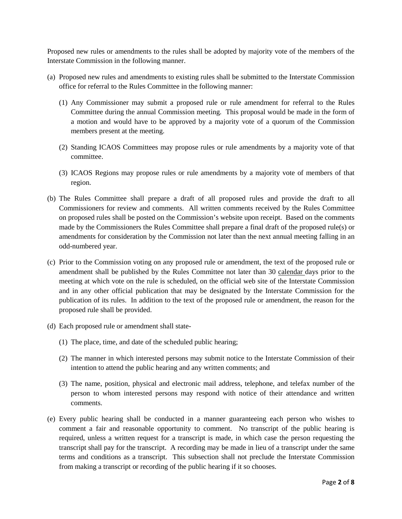Proposed new rules or amendments to the rules shall be adopted by majority vote of the members of the Interstate Commission in the following manner.

- (a) Proposed new rules and amendments to existing rules shall be submitted to the Interstate Commission office for referral to the Rules Committee in the following manner:
	- (1) Any Commissioner may submit a proposed rule or rule amendment for referral to the Rules Committee during the annual Commission meeting. This proposal would be made in the form of a motion and would have to be approved by a majority vote of a quorum of the Commission members present at the meeting.
	- (2) Standing ICAOS Committees may propose rules or rule amendments by a majority vote of that committee.
	- (3) ICAOS Regions may propose rules or rule amendments by a majority vote of members of that region.
- (b) The Rules Committee shall prepare a draft of all proposed rules and provide the draft to all Commissioners for review and comments. All written comments received by the Rules Committee on proposed rules shall be posted on the Commission's website upon receipt. Based on the comments made by the Commissioners the Rules Committee shall prepare a final draft of the proposed rule(s) or amendments for consideration by the Commission not later than the next annual meeting falling in an odd-numbered year.
- (c) Prior to the Commission voting on any proposed rule or amendment, the text of the proposed rule or amendment shall be published by the Rules Committee not later than 30 calendar days prior to the meeting at which vote on the rule is scheduled, on the official web site of the Interstate Commission and in any other official publication that may be designated by the Interstate Commission for the publication of its rules. In addition to the text of the proposed rule or amendment, the reason for the proposed rule shall be provided.
- (d) Each proposed rule or amendment shall state-
	- (1) The place, time, and date of the scheduled public hearing;
	- (2) The manner in which interested persons may submit notice to the Interstate Commission of their intention to attend the public hearing and any written comments; and
	- (3) The name, position, physical and electronic mail address, telephone, and telefax number of the person to whom interested persons may respond with notice of their attendance and written comments.
- (e) Every public hearing shall be conducted in a manner guaranteeing each person who wishes to comment a fair and reasonable opportunity to comment. No transcript of the public hearing is required, unless a written request for a transcript is made, in which case the person requesting the transcript shall pay for the transcript. A recording may be made in lieu of a transcript under the same terms and conditions as a transcript. This subsection shall not preclude the Interstate Commission from making a transcript or recording of the public hearing if it so chooses.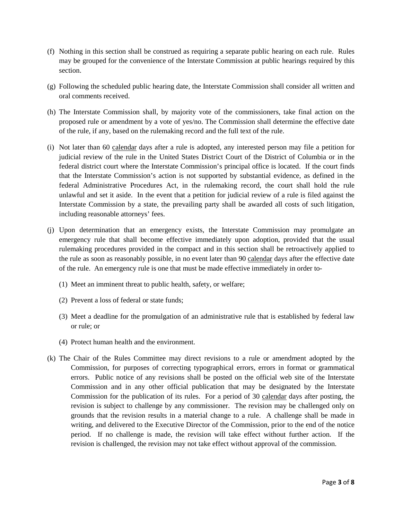- (f) Nothing in this section shall be construed as requiring a separate public hearing on each rule. Rules may be grouped for the convenience of the Interstate Commission at public hearings required by this section.
- (g) Following the scheduled public hearing date, the Interstate Commission shall consider all written and oral comments received.
- (h) The Interstate Commission shall, by majority vote of the commissioners, take final action on the proposed rule or amendment by a vote of yes/no. The Commission shall determine the effective date of the rule, if any, based on the rulemaking record and the full text of the rule.
- (i) Not later than 60 calendar days after a rule is adopted, any interested person may file a petition for judicial review of the rule in the United States District Court of the District of Columbia or in the federal district court where the Interstate Commission's principal office is located. If the court finds that the Interstate Commission's action is not supported by substantial evidence, as defined in the federal Administrative Procedures Act, in the rulemaking record, the court shall hold the rule unlawful and set it aside. In the event that a petition for judicial review of a rule is filed against the Interstate Commission by a state, the prevailing party shall be awarded all costs of such litigation, including reasonable attorneys' fees.
- (j) Upon determination that an emergency exists, the Interstate Commission may promulgate an emergency rule that shall become effective immediately upon adoption, provided that the usual rulemaking procedures provided in the compact and in this section shall be retroactively applied to the rule as soon as reasonably possible, in no event later than 90 calendar days after the effective date of the rule. An emergency rule is one that must be made effective immediately in order to-
	- (1) Meet an imminent threat to public health, safety, or welfare;
	- (2) Prevent a loss of federal or state funds;
	- (3) Meet a deadline for the promulgation of an administrative rule that is established by federal law or rule; or
	- (4) Protect human health and the environment.
- (k) The Chair of the Rules Committee may direct revisions to a rule or amendment adopted by the Commission, for purposes of correcting typographical errors, errors in format or grammatical errors. Public notice of any revisions shall be posted on the official web site of the Interstate Commission and in any other official publication that may be designated by the Interstate Commission for the publication of its rules. For a period of 30 calendar days after posting, the revision is subject to challenge by any commissioner. The revision may be challenged only on grounds that the revision results in a material change to a rule. A challenge shall be made in writing, and delivered to the Executive Director of the Commission, prior to the end of the notice period. If no challenge is made, the revision will take effect without further action. If the revision is challenged, the revision may not take effect without approval of the commission.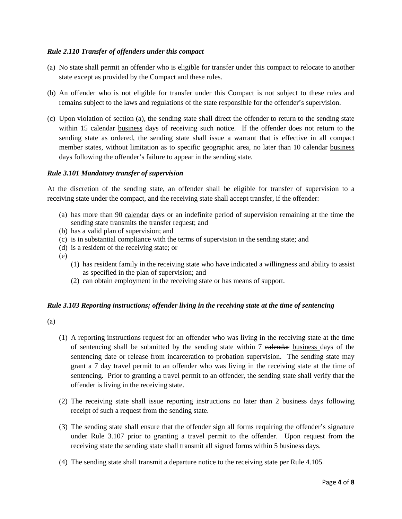#### *Rule 2.110 Transfer of offenders under this compact*

- (a) No state shall permit an offender who is eligible for transfer under this compact to relocate to another state except as provided by the Compact and these rules.
- (b) An offender who is not eligible for transfer under this Compact is not subject to these rules and remains subject to the laws and regulations of the state responsible for the offender's supervision.
- (c) Upon violation of section (a), the sending state shall direct the offender to return to the sending state within 15 calendar business days of receiving such notice. If the offender does not return to the sending state as ordered, the sending state shall issue a warrant that is effective in all compact member states, without limitation as to specific geographic area, no later than 10 calendar business days following the offender's failure to appear in the sending state.

#### *Rule 3.101 Mandatory transfer of supervision*

At the discretion of the sending state, an offender shall be eligible for transfer of supervision to a receiving state under the compact, and the receiving state shall accept transfer, if the offender:

- (a) has more than 90 calendar days or an indefinite period of supervision remaining at the time the sending state transmits the transfer request; and
- (b) has a valid plan of supervision; and
- (c) is in substantial compliance with the terms of supervision in the sending state; and
- (d) is a resident of the receiving state; or
- (e)
- (1) has resident family in the receiving state who have indicated a willingness and ability to assist as specified in the plan of supervision; and
- (2) can obtain employment in the receiving state or has means of support.

#### *Rule 3.103 Reporting instructions; offender living in the receiving state at the time of sentencing*

(a)

- (1) A reporting instructions request for an offender who was living in the receiving state at the time of sentencing shall be submitted by the sending state within  $7$  calendar business days of the sentencing date or release from incarceration to probation supervision. The sending state may grant a 7 day travel permit to an offender who was living in the receiving state at the time of sentencing. Prior to granting a travel permit to an offender, the sending state shall verify that the offender is living in the receiving state.
- (2) The receiving state shall issue reporting instructions no later than 2 business days following receipt of such a request from the sending state.
- (3) The sending state shall ensure that the offender sign all forms requiring the offender's signature under Rule 3.107 prior to granting a travel permit to the offender. Upon request from the receiving state the sending state shall transmit all signed forms within 5 business days.
- (4) The sending state shall transmit a departure notice to the receiving state per Rule 4.105.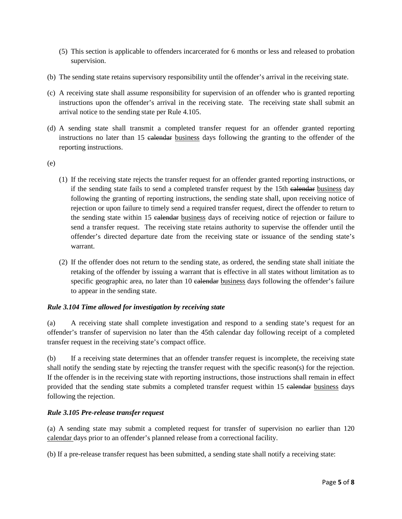- (5) This section is applicable to offenders incarcerated for 6 months or less and released to probation supervision.
- (b) The sending state retains supervisory responsibility until the offender's arrival in the receiving state.
- (c) A receiving state shall assume responsibility for supervision of an offender who is granted reporting instructions upon the offender's arrival in the receiving state. The receiving state shall submit an arrival notice to the sending state per Rule 4.105.
- (d) A sending state shall transmit a completed transfer request for an offender granted reporting instructions no later than 15 calendar business days following the granting to the offender of the reporting instructions.
- (e)
- (1) If the receiving state rejects the transfer request for an offender granted reporting instructions, or if the sending state fails to send a completed transfer request by the 15th ealendar business day following the granting of reporting instructions, the sending state shall, upon receiving notice of rejection or upon failure to timely send a required transfer request, direct the offender to return to the sending state within 15 calendar business days of receiving notice of rejection or failure to send a transfer request. The receiving state retains authority to supervise the offender until the offender's directed departure date from the receiving state or issuance of the sending state's warrant.
- (2) If the offender does not return to the sending state, as ordered, the sending state shall initiate the retaking of the offender by issuing a warrant that is effective in all states without limitation as to specific geographic area, no later than 10 calendar business days following the offender's failure to appear in the sending state.

### *Rule 3.104 Time allowed for investigation by receiving state*

(a) A receiving state shall complete investigation and respond to a sending state's request for an offender's transfer of supervision no later than the 45th calendar day following receipt of a completed transfer request in the receiving state's compact office.

(b) If a receiving state determines that an offender transfer request is incomplete, the receiving state shall notify the sending state by rejecting the transfer request with the specific reason(s) for the rejection. If the offender is in the receiving state with reporting instructions, those instructions shall remain in effect provided that the sending state submits a completed transfer request within 15 calendar business days following the rejection.

#### *Rule 3.105 Pre-release transfer request*

(a) A sending state may submit a completed request for transfer of supervision no earlier than 120 calendar days prior to an offender's planned release from a correctional facility.

(b) If a pre-release transfer request has been submitted, a sending state shall notify a receiving state: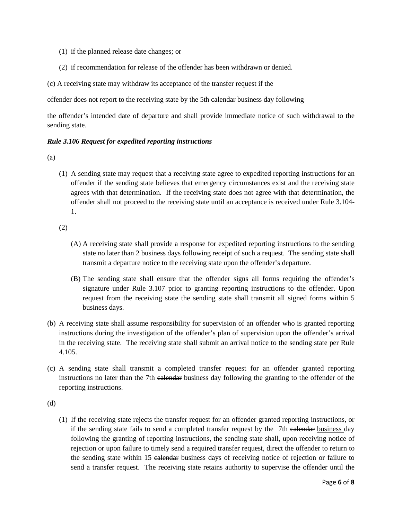- (1) if the planned release date changes; or
- (2) if recommendation for release of the offender has been withdrawn or denied.
- (c) A receiving state may withdraw its acceptance of the transfer request if the

offender does not report to the receiving state by the 5th ealendar business day following

the offender's intended date of departure and shall provide immediate notice of such withdrawal to the sending state.

#### *Rule 3.106 Request for expedited reporting instructions*

(a)

(1) A sending state may request that a receiving state agree to expedited reporting instructions for an offender if the sending state believes that emergency circumstances exist and the receiving state agrees with that determination. If the receiving state does not agree with that determination, the offender shall not proceed to the receiving state until an acceptance is received under Rule 3.104- 1.

(2)

- (A) A receiving state shall provide a response for expedited reporting instructions to the sending state no later than 2 business days following receipt of such a request. The sending state shall transmit a departure notice to the receiving state upon the offender's departure.
- (B) The sending state shall ensure that the offender signs all forms requiring the offender's signature under Rule 3.107 prior to granting reporting instructions to the offender. Upon request from the receiving state the sending state shall transmit all signed forms within 5 business days.
- (b) A receiving state shall assume responsibility for supervision of an offender who is granted reporting instructions during the investigation of the offender's plan of supervision upon the offender's arrival in the receiving state. The receiving state shall submit an arrival notice to the sending state per Rule 4.105.
- (c) A sending state shall transmit a completed transfer request for an offender granted reporting instructions no later than the 7th ealendar business day following the granting to the offender of the reporting instructions.

(d)

(1) If the receiving state rejects the transfer request for an offender granted reporting instructions, or if the sending state fails to send a completed transfer request by the 7th calendar business day following the granting of reporting instructions, the sending state shall, upon receiving notice of rejection or upon failure to timely send a required transfer request, direct the offender to return to the sending state within 15 calendar business days of receiving notice of rejection or failure to send a transfer request. The receiving state retains authority to supervise the offender until the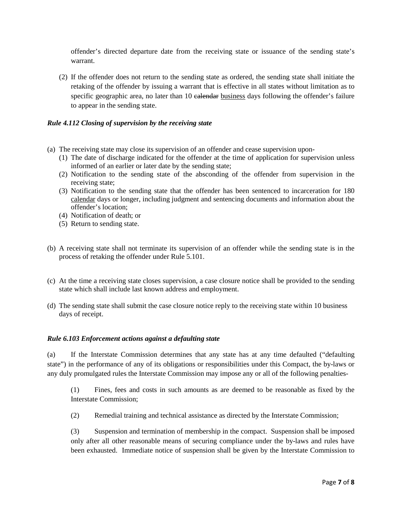offender's directed departure date from the receiving state or issuance of the sending state's warrant.

(2) If the offender does not return to the sending state as ordered, the sending state shall initiate the retaking of the offender by issuing a warrant that is effective in all states without limitation as to specific geographic area, no later than 10 calendar business days following the offender's failure to appear in the sending state.

#### *Rule 4.112 Closing of supervision by the receiving state*

- (a) The receiving state may close its supervision of an offender and cease supervision upon-
	- (1) The date of discharge indicated for the offender at the time of application for supervision unless informed of an earlier or later date by the sending state;
	- (2) Notification to the sending state of the absconding of the offender from supervision in the receiving state;
	- (3) Notification to the sending state that the offender has been sentenced to incarceration for 180 calendar days or longer, including judgment and sentencing documents and information about the offender's location;
	- (4) Notification of death; or
	- (5) Return to sending state.
- (b) A receiving state shall not terminate its supervision of an offender while the sending state is in the process of retaking the offender under Rule 5.101.
- (c) At the time a receiving state closes supervision, a case closure notice shall be provided to the sending state which shall include last known address and employment.
- (d) The sending state shall submit the case closure notice reply to the receiving state within 10 business days of receipt.

#### *Rule 6.103 Enforcement actions against a defaulting state*

(a) If the Interstate Commission determines that any state has at any time defaulted ("defaulting state") in the performance of any of its obligations or responsibilities under this Compact, the by-laws or any duly promulgated rules the Interstate Commission may impose any or all of the following penalties-

(1) Fines, fees and costs in such amounts as are deemed to be reasonable as fixed by the Interstate Commission;

- (2) Remedial training and technical assistance as directed by the Interstate Commission;
- (3) Suspension and termination of membership in the compact. Suspension shall be imposed only after all other reasonable means of securing compliance under the by-laws and rules have been exhausted. Immediate notice of suspension shall be given by the Interstate Commission to